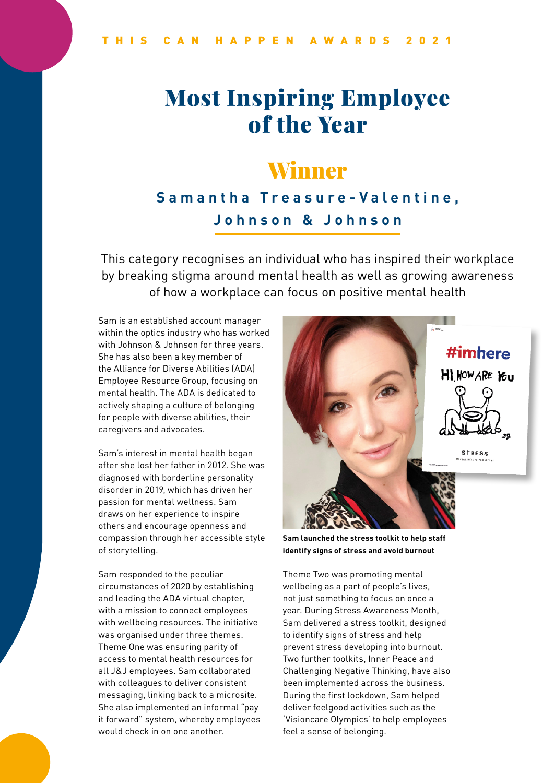# Most Inspiring Employee of the Year

### Winner

#### **Samantha Treasure-Valentine, Johnson & Johnson**

This category recognises an individual who has inspired their workplace by breaking stigma around mental health as well as growing awareness of how a workplace can focus on positive mental health

Sam is an established account manager within the optics industry who has worked with Johnson & Johnson for three years. She has also been a key member of the Alliance for Diverse Abilities (ADA) Employee Resource Group, focusing on mental health. The ADA is dedicated to actively shaping a culture of belonging for people with diverse abilities, their caregivers and advocates.

Sam's interest in mental health began after she lost her father in 2012. She was diagnosed with borderline personality disorder in 2019, which has driven her passion for mental wellness. Sam draws on her experience to inspire others and encourage openness and compassion through her accessible style of storytelling.

Sam responded to the peculiar circumstances of 2020 by establishing and leading the ADA virtual chapter, with a mission to connect employees with wellbeing resources. The initiative was organised under three themes. Theme One was ensuring parity of access to mental health resources for all J&J employees. Sam collaborated with colleagues to deliver consistent messaging, linking back to a microsite. She also implemented an informal "pay it forward" system, whereby employees would check in on one another.



**Sam launched the stress toolkit to help staff identify signs of stress and avoid burnout**

Theme Two was promoting mental wellbeing as a part of people's lives, not just something to focus on once a year. During Stress Awareness Month, Sam delivered a stress toolkit, designed to identify signs of stress and help prevent stress developing into burnout. Two further toolkits, Inner Peace and Challenging Negative Thinking, have also been implemented across the business. During the first lockdown, Sam helped deliver feelgood activities such as the 'Visioncare Olympics' to help employees feel a sense of belonging.